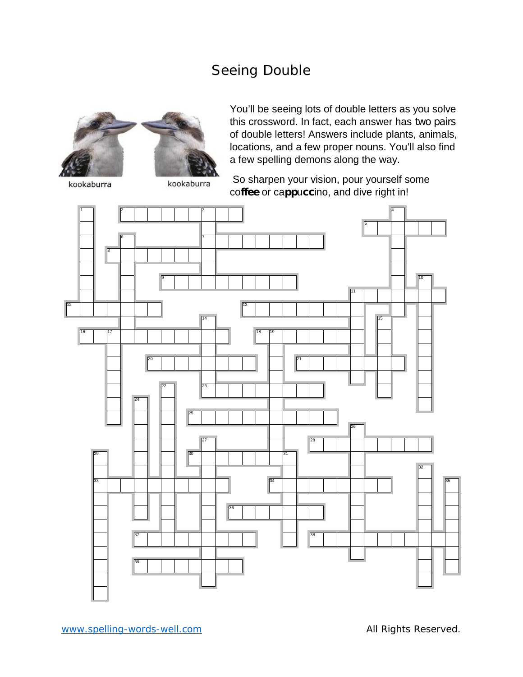## Seeing Double



You'll be seeing lots of double letters as you solve this crossword. In fact, each answer has *two pairs* of double letters! Answers include plants, animals, locations, and a few proper nouns. You'll also find a few spelling demons along the way.

kookaburra

kookaburra

So sharpen your vision, pour yourself some co**ffee** or ca**pp**u**cc**ino, and dive right in!

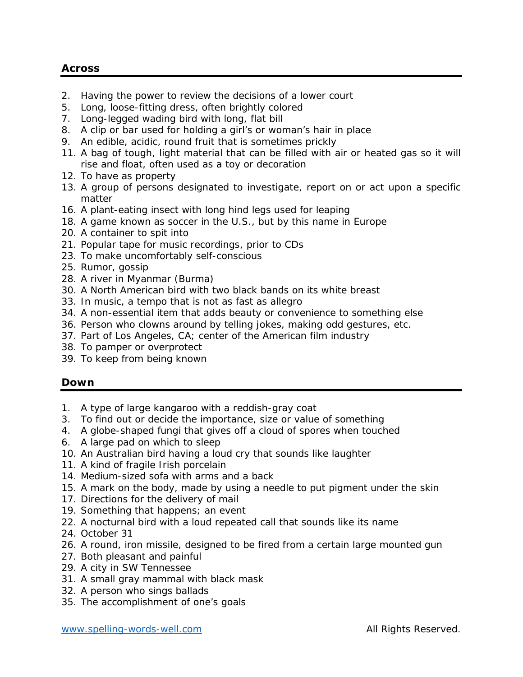## **Across**

- 2. Having the power to review the decisions of a lower court
- 5. Long, loose-fitting dress, often brightly colored
- 7. Long-legged wading bird with long, flat bill
- 8. A clip or bar used for holding a girl's or woman's hair in place
- 9. An edible, acidic, round fruit that is sometimes prickly
- 11. A bag of tough, light material that can be filled with air or heated gas so it will rise and float, often used as a toy or decoration
- 12. To have as property
- 13. A group of persons designated to investigate, report on or act upon a specific matter
- 16. A plant-eating insect with long hind legs used for leaping
- 18. A game known as soccer in the U.S., but by this name in Europe
- 20. A container to spit into
- 21. Popular tape for music recordings, prior to CDs
- 23. To make uncomfortably self-conscious
- 25. Rumor, gossip
- 28. A river in Myanmar (Burma)
- 30. A North American bird with two black bands on its white breast
- 33. In music, a tempo that is not as fast as allegro
- 34. A non-essential item that adds beauty or convenience to something else
- 36. Person who clowns around by telling jokes, making odd gestures, etc.
- 37. Part of Los Angeles, CA; center of the American film industry
- 38. To pamper or overprotect
- 39. To keep from being known

## **Down**

- 1. A type of large kangaroo with a reddish-gray coat
- 3. To find out or decide the importance, size or value of something
- 4. A globe-shaped fungi that gives off a cloud of spores when touched
- 6. A large pad on which to sleep
- 10. An Australian bird having a loud cry that sounds like laughter
- 11. A kind of fragile Irish porcelain
- 14. Medium-sized sofa with arms and a back
- 15. A mark on the body, made by using a needle to put pigment under the skin
- 17. Directions for the delivery of mail
- 19. Something that happens; an event
- 22. A nocturnal bird with a loud repeated call that sounds like its name
- 24. October 31
- 26. A round, iron missile, designed to be fired from a certain large mounted gun
- 27. Both pleasant and painful
- 29. A city in SW Tennessee
- 31. A small gray mammal with black mask
- 32. A person who sings ballads
- 35. The accomplishment of one's goals